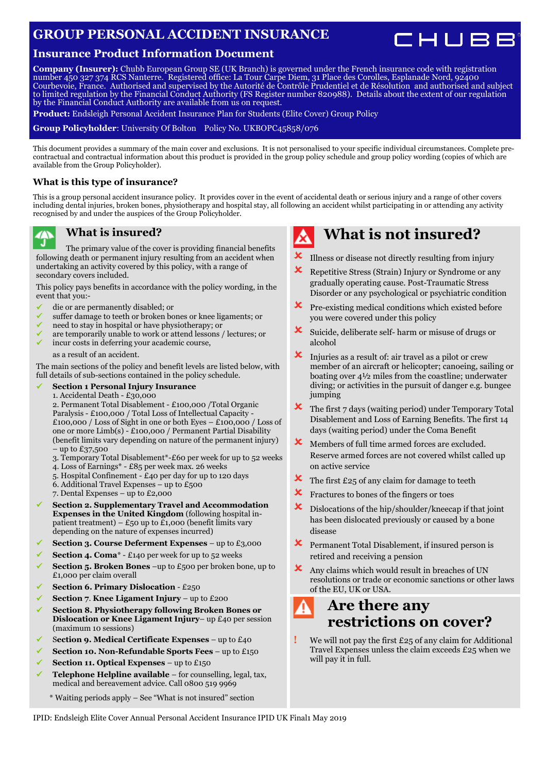### **GROUP PERSONAL ACCIDENT INSURANCE**

### **Insurance Product Information Document**

**Company (Insurer):** Chubb European Group SE (UK Branch) is governed under the French insurance code with registration number 450 327 374 RCS Nanterre. Registered office: La Tour Carpe Diem, 31 Place des Corolles, Esplanade Nord, 92400 Courbevoie, France. Authorised and supervised by the Autorité de Contrôle Prudentiel et de Résolution and authorised and subject to limited regulation by the Financial Conduct Authority (FS Register number 820988). Details about the extent of our regulation by the Financial Conduct Authority are available from us on request.

**Product:** Endsleigh Personal Accident Insurance Plan for Students (Elite Cover) Group Policy

**Group Policyholder**: University Of Bolton Policy No. UKBOPC45858/076

This document provides a summary of the main cover and exclusions. It is not personalised to your specific individual circumstances. Complete precontractual and contractual information about this product is provided in the group policy schedule and group policy wording (copies of which are available from the Group Policyholder).

#### **What is this type of insurance?**

This is a group personal accident insurance policy. It provides cover in the event of accidental death or serious injury and a range of other covers including dental injuries, broken bones, physiotherapy and hospital stay, all following an accident whilst participating in or attending any activity recognised by and under the auspices of the Group Policyholder.

#### **What is insured?** 70

`J The primary value of the cover is providing financial benefits following death or permanent injury resulting from an accident when undertaking an activity covered by this policy, with a range of secondary covers included.

This policy pays benefits in accordance with the policy wording, in the event that you:-

- die or are permanently disabled; or
- suffer damage to teeth or broken bones or knee ligaments; or
- need to stay in hospital or have physiotherapy; or
- are temporarily unable to work or attend lessons / lectures; or incur costs in deferring your academic course,
	- as a result of an accident.

The main sections of the policy and benefit levels are listed below, with full details of sub-sections contained in the policy schedule.

**Section 1 Personal Injury Insurance**

1. Accidental Death - £30,000 2. Permanent Total Disablement - £100,000 /Total Organic Paralysis - £100,000 / Total Loss of Intellectual Capacity - £100,000 / Loss of Sight in one or both Eyes – £100,000 / Loss of one or more Limb(s) - £100,000 / Permanent Partial Disability (benefit limits vary depending on nature of the permanent injury) – up to £37,500

- 3. Temporary Total Disablement\*-£60 per week for up to 52 weeks
- 4. Loss of Earnings\* £85 per week max. 26 weeks
- 5. Hospital Confinement £40 per day for up to 120 days
- 6. Additional Travel Expenses up to £500
- 7. Dental Expenses up to £2,000
- **Section 2. Supplementary Travel and Accommodation Expenses in the United Kingdom** (following hospital inpatient treatment) –  $E_{50}$  up to  $E_{1,000}$  (benefit limits vary depending on the nature of expenses incurred)
- **Section 3. Course Deferment Expenses** up to £3,000
- **Section 4. Coma**\* £140 per week for up to 52 weeks
- **Section 5. Broken Bones** –up to £500 per broken bone, up to £1,000 per claim overall
- **Section 6. Primary Dislocation** £250
- **Section 7**. **Knee Ligament Injury** up to £200
- **Section 8. Physiotherapy following Broken Bones or Dislocation or Knee Ligament Injury**– up £40 per session (maximum 10 sessions)
- S**ection 9. Medical Certificate Expenses** up to £40
- **Section 10. Non-Refundable Sports Fees** up to £150
- **Section 11. Optical Expenses** up to £150
- **Telephone Helpline available**  for counselling, legal, tax, medical and bereavement advice. Call 0800 519 9969
	- \* Waiting periods apply See "What is not insured" section

## **What is not insured?**

- $\mathbf{\times}$  Illness or disease not directly resulting from injury
- $\boldsymbol{\times}$  Repetitive Stress (Strain) Injury or Syndrome or any gradually operating cause. Post-Traumatic Stress Disorder or any psychological or psychiatric condition
- **X** Pre-existing medical conditions which existed before you were covered under this policy
- $\boldsymbol{\times}$  Suicide, deliberate self- harm or misuse of drugs or alcohol
- $\boldsymbol{\times}$  Injuries as a result of: air travel as a pilot or crew member of an aircraft or helicopter; canoeing, sailing or boating over 4½ miles from the coastline; underwater diving; or activities in the pursuit of danger e.g. bungee jumping
- $\bm{\times}$  The first 7 days (waiting period) under Temporary Total Disablement and Loss of Earning Benefits. The first 14 days (waiting period) under the Coma Benefit
- **X** Members of full time armed forces are excluded. Reserve armed forces are not covered whilst called up on active service
- $\mathbf{\times}$  The first £25 of any claim for damage to teeth
- **X** Fractures to bones of the fingers or toes
- Dislocations of the hip/shoulder/kneecap if that joint has been dislocated previously or caused by a bone disease
- $\boldsymbol{\times}$  Permanent Total Disablement, if insured person is retired and receiving a pension
- Any claims which would result in breaches of UN resolutions or trade or economic sanctions or other laws of the EU, UK or USA.

#### **Are there any**  φ **restrictions on cover?**

**!** We will not pay the first £25 of any claim for Additional Travel Expenses unless the claim exceeds £25 when we will pay it in full.

IPID: Endsleigh Elite Cover Annual Personal Accident Insurance IPID UK Final1 May 2019

CHUBB